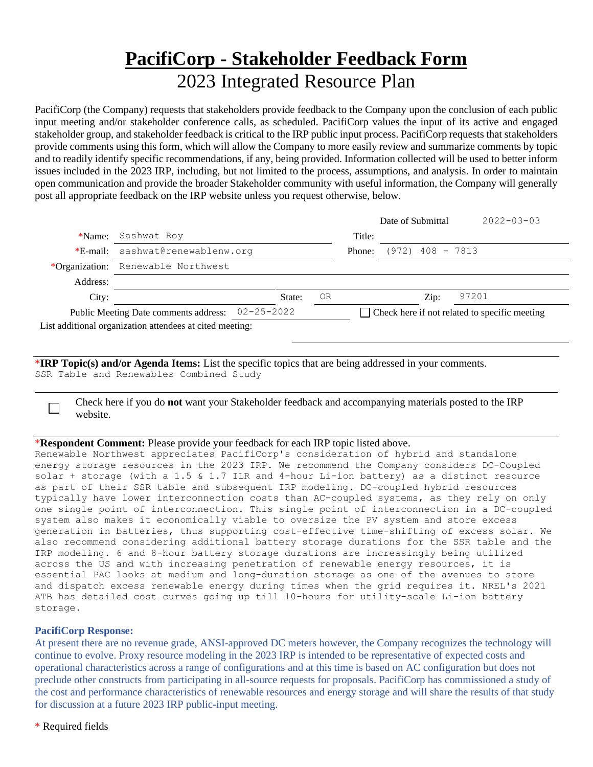## **PacifiCorp - Stakeholder Feedback Form** 2023 Integrated Resource Plan

PacifiCorp (the Company) requests that stakeholders provide feedback to the Company upon the conclusion of each public input meeting and/or stakeholder conference calls, as scheduled. PacifiCorp values the input of its active and engaged stakeholder group, and stakeholder feedback is critical to the IRP public input process. PacifiCorp requests that stakeholders provide comments using this form, which will allow the Company to more easily review and summarize comments by topic and to readily identify specific recommendations, if any, being provided. Information collected will be used to better inform issues included in the 2023 IRP, including, but not limited to the process, assumptions, and analysis. In order to maintain open communication and provide the broader Stakeholder community with useful information, the Company will generally post all appropriate feedback on the IRP website unless you request otherwise, below.

|                                       |                                                          |  |        |                                               |        | Date of Submittal  | $2022 - 03 - 03$ |
|---------------------------------------|----------------------------------------------------------|--|--------|-----------------------------------------------|--------|--------------------|------------------|
| *Name:                                | Sashwat Roy                                              |  |        |                                               | Title: |                    |                  |
| $*E$ -mail:                           | sashwat@renewablenw.org                                  |  |        |                                               | Phone: | $(972)$ 408 - 7813 |                  |
| *Organization:                        | Renewable Northwest                                      |  |        |                                               |        |                    |                  |
| Address:                              |                                                          |  |        |                                               |        |                    |                  |
| City:                                 |                                                          |  | State: | 0R                                            |        | Zip:               | 97201            |
| Public Meeting Date comments address: | $02 - 25 - 2022$                                         |  |        | Check here if not related to specific meeting |        |                    |                  |
|                                       | List additional organization attendees at cited meeting: |  |        |                                               |        |                    |                  |
|                                       |                                                          |  |        |                                               |        |                    |                  |

\***IRP Topic(s) and/or Agenda Items:** List the specific topics that are being addressed in your comments. SSR Table and Renewables Combined Study

Check here if you do **not** want your Stakeholder feedback and accompanying materials posted to the IRP website.

## \***Respondent Comment:** Please provide your feedback for each IRP topic listed above.

Renewable Northwest appreciates PacifiCorp's consideration of hybrid and standalone energy storage resources in the 2023 IRP. We recommend the Company considers DC-Coupled solar + storage (with a 1.5 & 1.7 ILR and 4-hour Li-ion battery) as a distinct resource as part of their SSR table and subsequent IRP modeling. DC-coupled hybrid resources typically have lower interconnection costs than AC-coupled systems, as they rely on only one single point of interconnection. This single point of interconnection in a DC-coupled system also makes it economically viable to oversize the PV system and store excess generation in batteries, thus supporting cost-effective time-shifting of excess solar. We also recommend considering additional battery storage durations for the SSR table and the IRP modeling. 6 and 8-hour battery storage durations are increasingly being utilized across the US and with increasing penetration of renewable energy resources, it is essential PAC looks at medium and long-duration storage as one of the avenues to store and dispatch excess renewable energy during times when the grid requires it. NREL's 2021 ATB has detailed cost curves going up till 10-hours for utility-scale Li-ion battery storage.

## **PacifiCorp Response:**

 $\Box$ 

At present there are no revenue grade, ANSI-approved DC meters however, the Company recognizes the technology will continue to evolve. Proxy resource modeling in the 2023 IRP is intended to be representative of expected costs and operational characteristics across a range of configurations and at this time is based on AC configuration but does not preclude other constructs from participating in all-source requests for proposals. PacifiCorp has commissioned a study of the cost and performance characteristics of renewable resources and energy storage and will share the results of that study for discussion at a future 2023 IRP public-input meeting.

\* Required fields